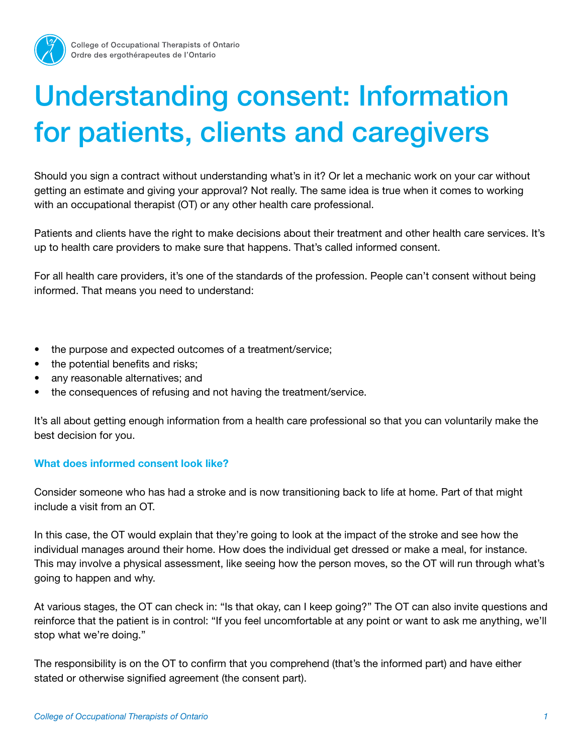

## Understanding consent: Information for patients, clients and caregivers

Should you sign a contract without understanding what's in it? Or let a mechanic work on your car without getting an estimate and giving your approval? Not really. The same idea is true when it comes to working with an occupational therapist (OT) or any other health care professional.

Patients and clients have the right to make decisions about their treatment and other health care services. It's up to health care providers to make sure that happens. That's called informed consent.

For all health care providers, it's one of the standards of the profession. People can't consent without being informed. That means you need to understand:

- the purpose and expected outcomes of a treatment/service;
- the potential benefits and risks;
- any reasonable alternatives; and
- the consequences of refusing and not having the treatment/service.

It's all about getting enough information from a health care professional so that you can voluntarily make the best decision for you.

## What does informed consent look like?

Consider someone who has had a stroke and is now transitioning back to life at home. Part of that might include a visit from an OT.

In this case, the OT would explain that they're going to look at the impact of the stroke and see how the individual manages around their home. How does the individual get dressed or make a meal, for instance. This may involve a physical assessment, like seeing how the person moves, so the OT will run through what's going to happen and why.

At various stages, the OT can check in: "Is that okay, can I keep going?" The OT can also invite questions and reinforce that the patient is in control: "If you feel uncomfortable at any point or want to ask me anything, we'll stop what we're doing."

The responsibility is on the OT to confirm that you comprehend (that's the informed part) and have either stated or otherwise signified agreement (the consent part).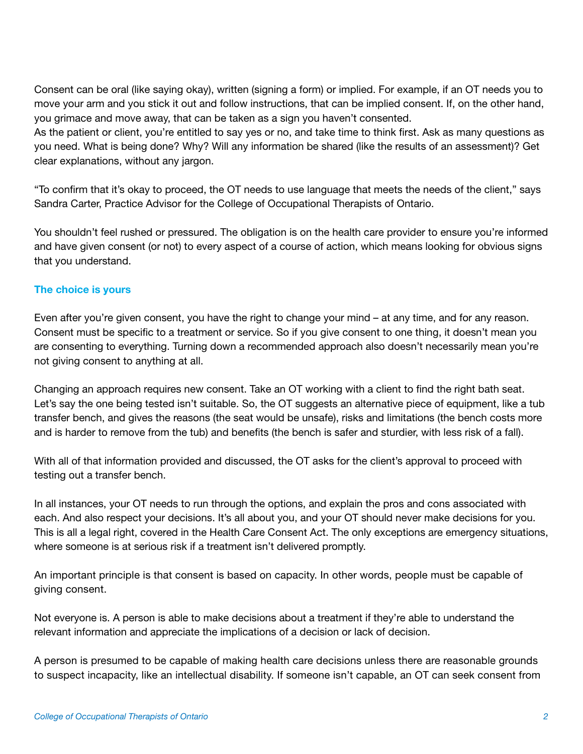Consent can be oral (like saying okay), written (signing a form) or implied. For example, if an OT needs you to move your arm and you stick it out and follow instructions, that can be implied consent. If, on the other hand, you grimace and move away, that can be taken as a sign you haven't consented.

As the patient or client, you're entitled to say yes or no, and take time to think first. Ask as many questions as you need. What is being done? Why? Will any information be shared (like the results of an assessment)? Get clear explanations, without any jargon.

"To confirm that it's okay to proceed, the OT needs to use language that meets the needs of the client," says Sandra Carter, Practice Advisor for the College of Occupational Therapists of Ontario.

You shouldn't feel rushed or pressured. The obligation is on the health care provider to ensure you're informed and have given consent (or not) to every aspect of a course of action, which means looking for obvious signs that you understand.

## The choice is yours

Even after you're given consent, you have the right to change your mind – at any time, and for any reason. Consent must be specific to a treatment or service. So if you give consent to one thing, it doesn't mean you are consenting to everything. Turning down a recommended approach also doesn't necessarily mean you're not giving consent to anything at all.

Changing an approach requires new consent. Take an OT working with a client to find the right bath seat. Let's say the one being tested isn't suitable. So, the OT suggests an alternative piece of equipment, like a tub transfer bench, and gives the reasons (the seat would be unsafe), risks and limitations (the bench costs more and is harder to remove from the tub) and benefits (the bench is safer and sturdier, with less risk of a fall).

With all of that information provided and discussed, the OT asks for the client's approval to proceed with testing out a transfer bench.

In all instances, your OT needs to run through the options, and explain the pros and cons associated with each. And also respect your decisions. It's all about you, and your OT should never make decisions for you. This is all a legal right, covered in the Health Care Consent Act. The only exceptions are emergency situations, where someone is at serious risk if a treatment isn't delivered promptly.

An important principle is that consent is based on capacity. In other words, people must be capable of giving consent.

Not everyone is. A person is able to make decisions about a treatment if they're able to understand the relevant information and appreciate the implications of a decision or lack of decision.

A person is presumed to be capable of making health care decisions unless there are reasonable grounds to suspect incapacity, like an intellectual disability. If someone isn't capable, an OT can seek consent from